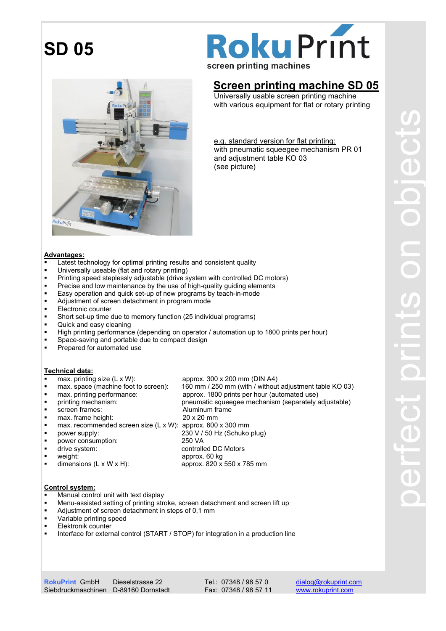

# **Roku Print**

screen printing machines

### Screen printing machine SD 05

 Universally usable screen printing machine with various equipment for flat or rotary printing

 e.g. standard version for flat printing: with pneumatic squeegee mechanism PR 01 and adjustment table KO 03 (see picture)

#### Advantages:

- Latest technology for optimal printing results and consistent quality
- **Universally useable (flat and rotary printing)**
- **Printing speed steplessly adjustable (drive system with controlled DC motors)**
- **Precise and low maintenance by the use of high-quality quiding elements**
- Easy operation and quick set-up of new programs by teach-in-mode
- **Adjustment of screen detachment in program mode**
- **Electronic counter**
- Short set-up time due to memory function (25 individual programs)
- **Quick and easy cleaning**
- High printing performance (depending on operator / automation up to 1800 prints per hour)
- **Space-saving and portable due to compact design**
- Prepared for automated use

- **Technical data:**<br>**•** max. printing size (L x W): approx.  $300 \times 200$  mm (DIN A4)
- max. space (machine foot to screen): 160 mm / 250 mm (with / without adjustment table KO 03)
- max. printing performance: approx. 1800 prints per hour (automated use)
- **•** printing mechanism: pneumatic squeegee mechanism (separately adjustable)
- **screen frames:** Aluminum frame ■ max. frame height: 20 x 20 mm
- 
- max. recommended screen size (L x W): approx. 600 x 300 mm
- power supply: 230 V / 50 Hz (Schuko plug)
- power consumption: 250 VA
- 
- 
- weight: approx. 60 kg<br>■ dimensions (L x W x H): approx. 820 x  $\blacksquare$  dimensions (L x W x H): approx. 820 x 550 x 785 mm
- drive system: controlled DC Motors<br>■ weight: controlled DC Motors
- Control system:
- Manual control unit with text display
- Menu-assisted setting of printing stroke, screen detachment and screen lift up
- Adjustment of screen detachment in steps of 0,1 mm
- **variable printing speed**
- Elektronik counter
- Interface for external control (START / STOP) for integration in a production line

Tel.: 07348 / 98 57 0 Fax: 07348 / 98 57 11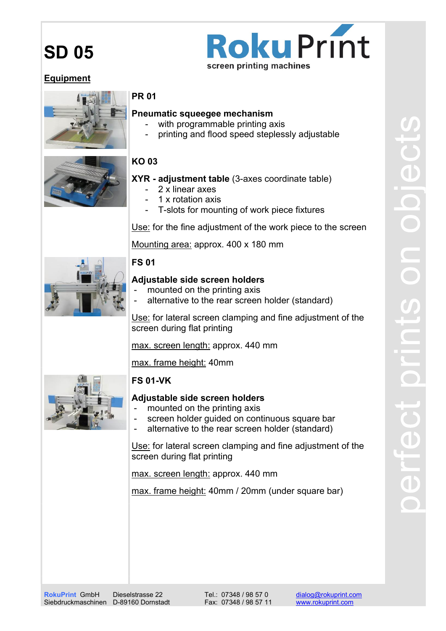## **Roku Print** screen printing machines

#### Equipment



#### PR 01

#### Pneumatic squeegee mechanism

- with programmable printing axis
- printing and flood speed steplessly adjustable

### KO 03

#### XYR - adjustment table (3-axes coordinate table)

- 2 x linear axes
- 1 x rotation axis
- T-slots for mounting of work piece fixtures

Use: for the fine adjustment of the work piece to the screen

Mounting area: approx. 400 x 180 mm



#### FS 01

#### Adiustable side screen holders

- mounted on the printing axis
- alternative to the rear screen holder (standard)

Use: for lateral screen clamping and fine adjustment of the screen during flat printing

max. screen length: approx. 440 mm

max. frame height: 40mm



### Adiustable side screen holders

- mounted on the printing axis
- screen holder guided on continuous square bar
- alternative to the rear screen holder (standard)

Use: for lateral screen clamping and fine adjustment of the screen during flat printing

max. screen length: approx. 440 mm

max. frame height: 40mm / 20mm (under square bar)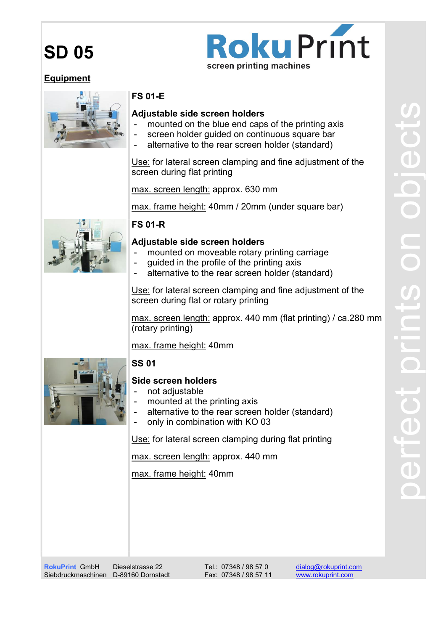## **Roku Print** screen printing machines

#### Equipment



#### FS 01-E

#### Adjustable side screen holders

- mounted on the blue end caps of the printing axis
- screen holder guided on continuous square bar
- alternative to the rear screen holder (standard)

Use: for lateral screen clamping and fine adjustment of the screen during flat printing

max. screen length: approx. 630 mm

max. frame height: 40mm / 20mm (under square bar)

#### FS 01-R

#### Adjustable side screen holders

- mounted on moveable rotary printing carriage
- guided in the profile of the printing axis
- alternative to the rear screen holder (standard)

Use: for lateral screen clamping and fine adjustment of the screen during flat or rotary printing

max. screen length: approx. 440 mm (flat printing) / ca.280 mm (rotary printing)

max. frame height: 40mm



#### SS 01

#### Side screen holders

- not adjustable
- mounted at the printing axis
- alternative to the rear screen holder (standard)
- only in combination with KO 03

Use: for lateral screen clamping during flat printing

max. screen length: approx. 440 mm

max. frame height: 40mm

RokuPrint GmbH Siebdruckmaschinen D-89160 Dornstadt

Dieselstrasse 22

Tel.: 07348 / 98 57 0 Fax: 07348 / 98 57 11

dialog@rokuprint.com www.rokuprint.com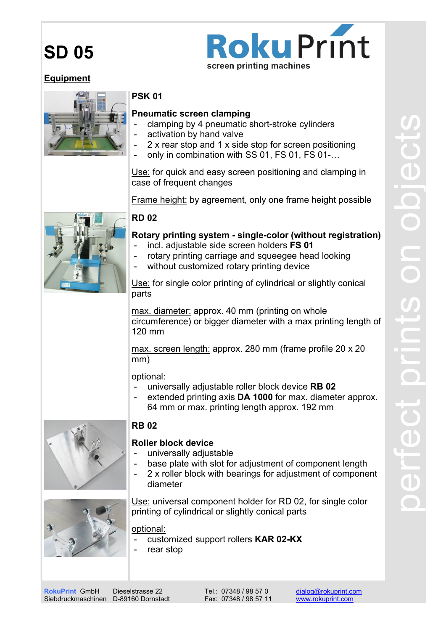## **Roku Print** screen printing machines

#### Equipment



#### PSK 01

#### Pneumatic screen clamping

- clamping by 4 pneumatic short-stroke cylinders
- activation by hand valve
- 2 x rear stop and 1 x side stop for screen positioning
- only in combination with SS 01, FS 01, FS 01-...

Use: for quick and easy screen positioning and clamping in case of frequent changes

Frame height: by agreement, only one frame height possible

#### RD 02

#### Rotary printing system - single-color (without registration)

- incl. adjustable side screen holders FS 01
- rotary printing carriage and squeegee head looking
- without customized rotary printing device

Use: for single color printing of cylindrical or slightly conical parts

max. diameter: approx. 40 mm (printing on whole circumference) or bigger diameter with a max printing length of 120 mm

max. screen length: approx. 280 mm (frame profile 20 x 20 mm)

#### optional:

- universally adjustable roller block device RB 02
- extended printing axis DA 1000 for max. diameter approx. 64 mm or max. printing length approx. 192 mm



#### RB 02

#### Roller block device

- universally adjustable
- base plate with slot for adjustment of component length
- 2 x roller block with bearings for adjustment of component diameter

Use: universal component holder for RD 02, for single color printing of cylindrical or slightly conical parts

optional:

- customized support rollers KAR 02-KX
- rear stop

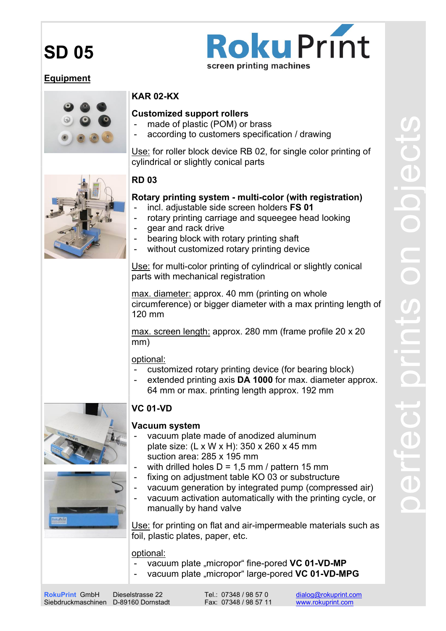## **Roku Print** screen printing machines

#### Equipment



#### KAR 02-KX

#### Customized support rollers

- made of plastic (POM) or brass
- according to customers specification / drawing

Use: for roller block device RB 02, for single color printing of cylindrical or slightly conical parts



#### RD 03

#### Rotary printing system - multi-color (with registration)

- incl. adjustable side screen holders FS 01
- rotary printing carriage and squeegee head looking
- gear and rack drive
- bearing block with rotary printing shaft
- without customized rotary printing device

Use: for multi-color printing of cylindrical or slightly conical parts with mechanical registration

max. diameter: approx. 40 mm (printing on whole circumference) or bigger diameter with a max printing length of 120 mm

max. screen length: approx. 280 mm (frame profile 20 x 20 mm)

optional:

- customized rotary printing device (for bearing block)
- extended printing axis DA 1000 for max. diameter approx. 64 mm or max. printing length approx. 192 mm



#### VC 01-VD

#### Vacuum system

- vacuum plate made of anodized aluminum plate size: (L x W x H): 350 x 260 x 45 mm suction area: 285 x 195 mm
- with drilled holes  $D = 1.5$  mm / pattern 15 mm
- fixing on adjustment table KO 03 or substructure
- vacuum generation by integrated pump (compressed air)
- vacuum activation automatically with the printing cycle, or manually by hand valve

Use: for printing on flat and air-impermeable materials such as foil, plastic plates, paper, etc.

#### optional:

- vacuum plate "micropor" fine-pored VC 01-VD-MP
- vacuum plate "micropor" large-pored VC 01-VD-MPG

Tel.: 07348 / 98 57 0 Fax: 07348 / 98 57 11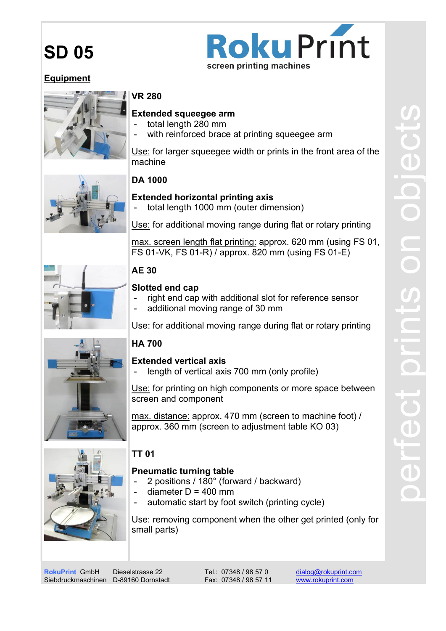

#### Equipment



#### VR 280

#### Extended squeegee arm

- total length 280 mm
- with reinforced brace at printing squeegee arm

Use: for larger squeegee width or prints in the front area of the machine



#### DA 1000

#### Extended horizontal printing axis

total length 1000 mm (outer dimension)

Use: for additional moving range during flat or rotary printing

max. screen length flat printing: approx. 620 mm (using FS 01, FS 01-VK, FS 01-R) / approx. 820 mm (using FS 01-E)

#### AE 30

#### Slotted end cap

- right end cap with additional slot for reference sensor
- additional moving range of 30 mm

Use: for additional moving range during flat or rotary printing



#### Extended vertical axis

length of vertical axis 700 mm (only profile)

Use: for printing on high components or more space between screen and component

max. distance: approx. 470 mm (screen to machine foot) / approx. 360 mm (screen to adjustment table KO 03)



#### TT 01

#### Pneumatic turning table

- 2 positions / 180° (forward / backward)
- diameter  $D = 400$  mm
- automatic start by foot switch (printing cycle)

Use: removing component when the other get printed (only for small parts)

RokuPrint GmbH Siebdruckmaschinen D-89160 Dornstadt

Dieselstrasse 22

Tel.: 07348 / 98 57 0 Fax: 07348 / 98 57 11 dialog@rokuprint.com www.rokuprint.com